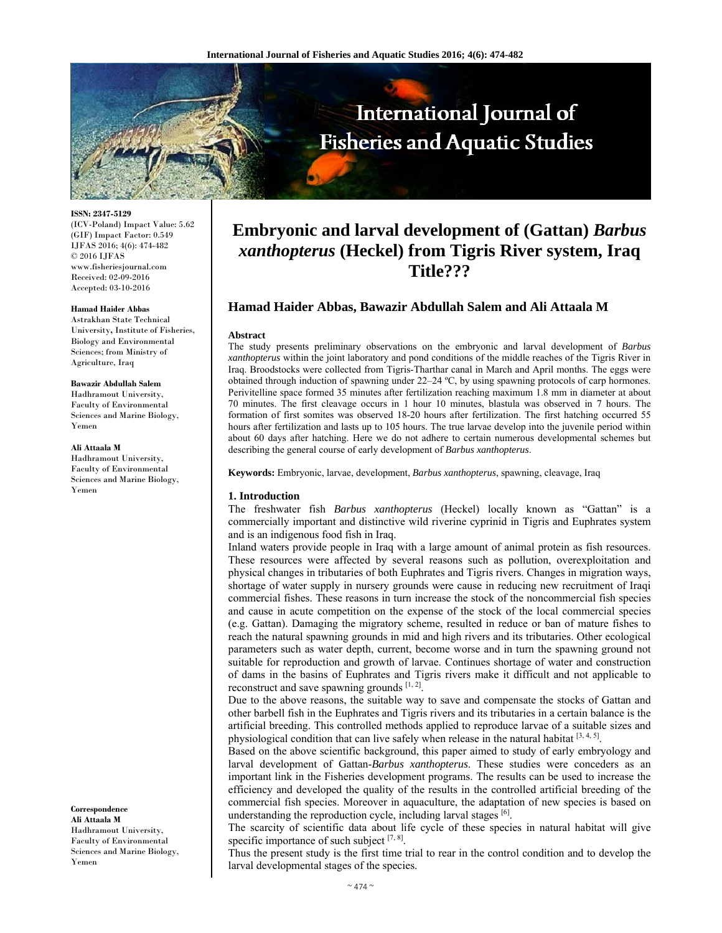

**ISSN: 2347-5129** 

(ICV-Poland) Impact Value: 5.62 (GIF) Impact Factor: 0.549 IJFAS 2016; 4(6): 474-482 © 2016 IJFAS www.fisheriesjournal.com Received: 02-09-2016 Accepted: 03-10-2016

# **Hamad Haider Abbas**

Astrakhan State Technical University**,** Institute of Fisheries, Biology and Environmental Sciences; from Ministry of Agriculture, Iraq

#### **Bawazir Abdullah Salem**

Hadhramout University, Faculty of Environmental Sciences and Marine Biology, Yemen

#### **Ali Attaala M**

Hadhramout University, Faculty of Environmental Sciences and Marine Biology, Yemen

**Correspondence Ali Attaala M** Hadhramout University, Faculty of Environmental Sciences and Marine Biology, Yemen

# **Embryonic and larval development of (Gattan)** *Barbus xanthopterus* **(Heckel) from Tigris River system, Iraq Title???**

# **Hamad Haider Abbas, Bawazir Abdullah Salem and Ali Attaala M**

#### **Abstract**

The study presents preliminary observations on the embryonic and larval development of *Barbus xanthopterus* within the joint laboratory and pond conditions of the middle reaches of the Tigris River in Iraq. Broodstocks were collected from Tigris-Tharthar canal in March and April months. The eggs were obtained through induction of spawning under 22–24 ºC, by using spawning protocols of carp hormones. Perivitelline space formed 35 minutes after fertilization reaching maximum 1.8 mm in diameter at about 70 minutes. The first cleavage occurs in 1 hour 10 minutes, blastula was observed in 7 hours. The formation of first somites was observed 18-20 hours after fertilization. The first hatching occurred 55 hours after fertilization and lasts up to 105 hours. The true larvae develop into the juvenile period within about 60 days after hatching. Here we do not adhere to certain numerous developmental schemes but describing the general course of early development of *Barbus xanthopterus*.

**Keywords:** Embryonic, larvae, development, *Barbus xanthopterus*, spawning, cleavage, Iraq

## **1. Introduction**

The freshwater fish *Barbus xanthopterus* (Heckel) locally known as "Gattan" is a commercially important and distinctive wild riverine cyprinid in Tigris and Euphrates system and is an indigenous food fish in Iraq.

Inland waters provide people in Iraq with a large amount of animal protein as fish resources. These resources were affected by several reasons such as pollution, overexploitation and physical changes in tributaries of both Euphrates and Tigris rivers. Changes in migration ways, shortage of water supply in nursery grounds were cause in reducing new recruitment of Iraqi commercial fishes. These reasons in turn increase the stock of the noncommercial fish species and cause in acute competition on the expense of the stock of the local commercial species (e.g. Gattan). Damaging the migratory scheme, resulted in reduce or ban of mature fishes to reach the natural spawning grounds in mid and high rivers and its tributaries. Other ecological parameters such as water depth, current, become worse and in turn the spawning ground not suitable for reproduction and growth of larvae. Continues shortage of water and construction of dams in the basins of Euphrates and Tigris rivers make it difficult and not applicable to reconstruct and save spawning grounds  $[1, 2]$ .

Due to the above reasons, the suitable way to save and compensate the stocks of Gattan and other barbell fish in the Euphrates and Tigris rivers and its tributaries in a certain balance is the artificial breeding. This controlled methods applied to reproduce larvae of a suitable sizes and physiological condition that can live safely when release in the natural habitat  $[3, 4, 5]$ .

Based on the above scientific background, this paper aimed to study of early embryology and larval development of Gattan-*Barbus xanthopterus*. These studies were conceders as an important link in the Fisheries development programs. The results can be used to increase the efficiency and developed the quality of the results in the controlled artificial breeding of the commercial fish species. Moreover in aquaculture, the adaptation of new species is based on understanding the reproduction cycle, including larval stages [6].

The scarcity of scientific data about life cycle of these species in natural habitat will give specific importance of such subject  $[7, 8]$ .

Thus the present study is the first time trial to rear in the control condition and to develop the larval developmental stages of the species.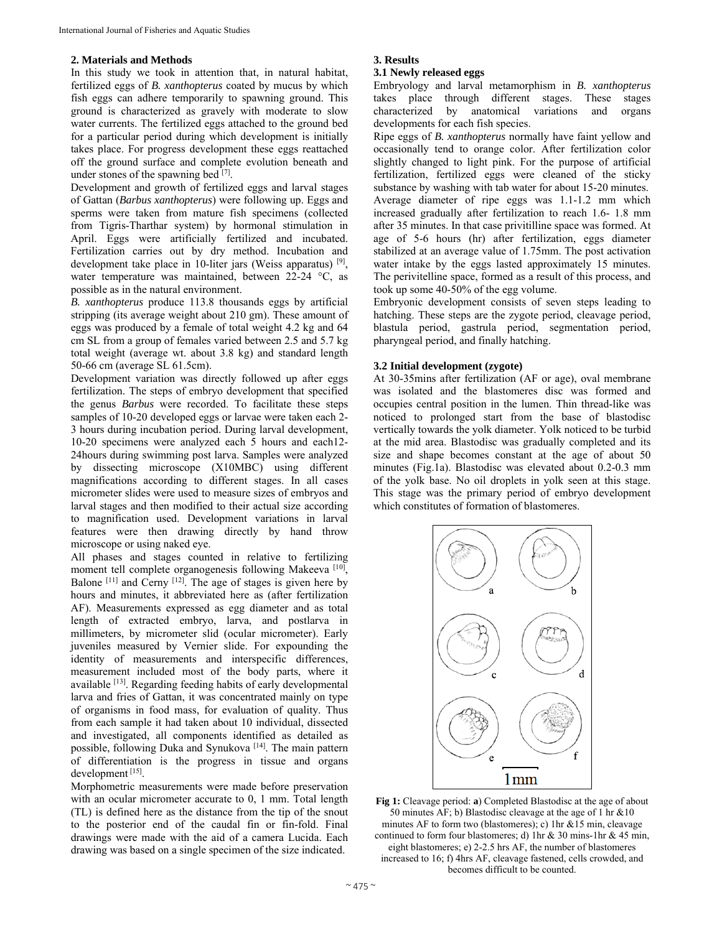# **2. Materials and Methods**

In this study we took in attention that, in natural habitat, fertilized eggs of *B. xanthopterus* coated by mucus by which fish eggs can adhere temporarily to spawning ground. This ground is characterized as gravely with moderate to slow water currents. The fertilized eggs attached to the ground bed for a particular period during which development is initially takes place. For progress development these eggs reattached off the ground surface and complete evolution beneath and under stones of the spawning bed  $[7]$ .

Development and growth of fertilized eggs and larval stages of Gattan (*Barbus xanthopterus*) were following up. Eggs and sperms were taken from mature fish specimens (collected from Tigris-Tharthar system) by hormonal stimulation in April. Eggs were artificially fertilized and incubated. Fertilization carries out by dry method. Incubation and development take place in 10-liter jars (Weiss apparatus)  $[9]$ , water temperature was maintained, between 22-24 °C, as possible as in the natural environment.

*B. xanthopterus* produce 113.8 thousands eggs by artificial stripping (its average weight about 210 gm). These amount of eggs was produced by a female of total weight 4.2 kg and 64 cm SL from a group of females varied between 2.5 and 5.7 kg total weight (average wt. about 3.8 kg) and standard length 50-66 cm (average SL 61.5cm).

Development variation was directly followed up after eggs fertilization. The steps of embryo development that specified the genus *Barbus* were recorded. To facilitate these steps samples of 10-20 developed eggs or larvae were taken each 2- 3 hours during incubation period. During larval development, 10-20 specimens were analyzed each 5 hours and each12- 24hours during swimming post larva. Samples were analyzed by dissecting microscope (X10MBC) using different magnifications according to different stages. In all cases micrometer slides were used to measure sizes of embryos and larval stages and then modified to their actual size according to magnification used. Development variations in larval features were then drawing directly by hand throw microscope or using naked eye.

All phases and stages counted in relative to fertilizing moment tell complete organogenesis following Makeeva [10], Balone  $[11]$  and Cerny  $[12]$ . The age of stages is given here by hours and minutes, it abbreviated here as (after fertilization AF). Measurements expressed as egg diameter and as total length of extracted embryo, larva, and postlarva in millimeters, by micrometer slid (ocular micrometer). Early juveniles measured by Vernier slide. For expounding the identity of measurements and interspecific differences, measurement included most of the body parts, where it available [13]. Regarding feeding habits of early developmental larva and fries of Gattan, it was concentrated mainly on type of organisms in food mass, for evaluation of quality. Thus from each sample it had taken about 10 individual, dissected and investigated, all components identified as detailed as possible, following Duka and Synukova [14]. The main pattern of differentiation is the progress in tissue and organs development [15].

Morphometric measurements were made before preservation with an ocular micrometer accurate to 0, 1 mm. Total length (TL) is defined here as the distance from the tip of the snout to the posterior end of the caudal fin or fin-fold. Final drawings were made with the aid of a camera Lucida. Each drawing was based on a single specimen of the size indicated.

# **3. Results**

# **3.1 Newly released eggs**

Embryology and larval metamorphism in *B. xanthopterus* takes place through different stages. These stages characterized by anatomical variations and organs developments for each fish species.

Ripe eggs of *B. xanthopterus* normally have faint yellow and occasionally tend to orange color. After fertilization color slightly changed to light pink. For the purpose of artificial fertilization, fertilized eggs were cleaned of the sticky substance by washing with tab water for about 15-20 minutes. Average diameter of ripe eggs was 1.1-1.2 mm which increased gradually after fertilization to reach 1.6- 1.8 mm after 35 minutes. In that case privitilline space was formed. At age of 5-6 hours (hr) after fertilization, eggs diameter stabilized at an average value of 1.75mm. The post activation water intake by the eggs lasted approximately 15 minutes. The perivitelline space, formed as a result of this process, and took up some 40-50% of the egg volume.

Embryonic development consists of seven steps leading to hatching. These steps are the zygote period, cleavage period, blastula period, gastrula period, segmentation period, pharyngeal period, and finally hatching.

# **3.2 Initial development (zygote)**

At 30-35mins after fertilization (AF or age), oval membrane was isolated and the blastomeres disc was formed and occupies central position in the lumen. Thin thread-like was noticed to prolonged start from the base of blastodisc vertically towards the yolk diameter. Yolk noticed to be turbid at the mid area. Blastodisc was gradually completed and its size and shape becomes constant at the age of about 50 minutes (Fig.1a). Blastodisc was elevated about 0.2-0.3 mm of the yolk base. No oil droplets in yolk seen at this stage. This stage was the primary period of embryo development which constitutes of formation of blastomeres.



**Fig 1:** Cleavage period: **a**) Completed Blastodisc at the age of about 50 minutes AF; b) Blastodisc cleavage at the age of 1 hr &10 minutes AF to form two (blastomeres); c) 1hr &15 min, cleavage continued to form four blastomeres; d) 1hr & 30 mins-1hr & 45 min, eight blastomeres; e) 2-2.5 hrs AF, the number of blastomeres increased to 16; f) 4hrs AF, cleavage fastened, cells crowded, and becomes difficult to be counted.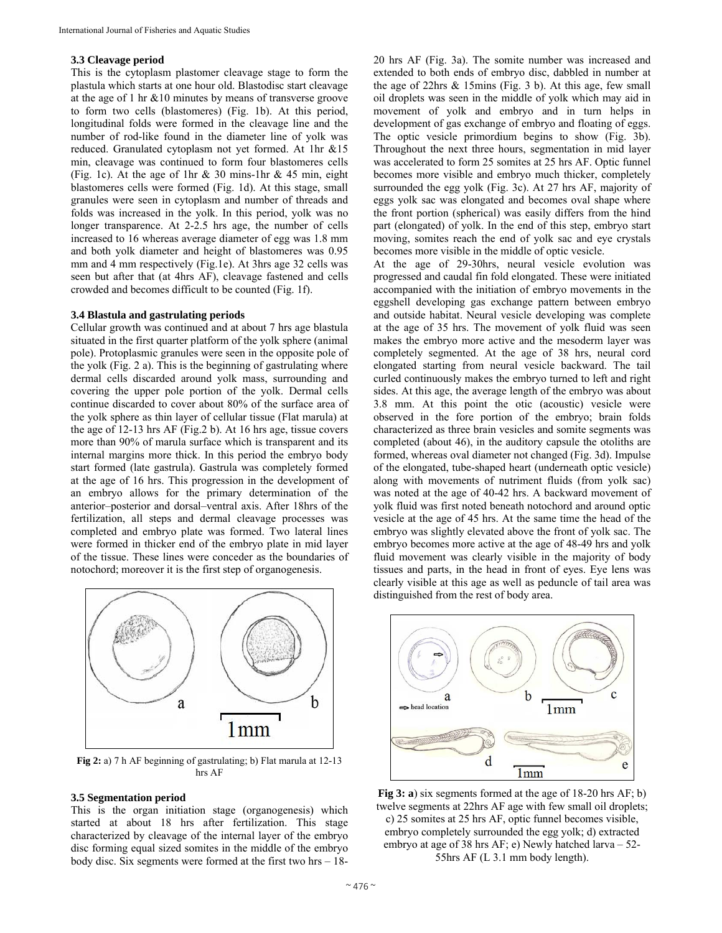# **3.3 Cleavage period**

This is the cytoplasm plastomer cleavage stage to form the plastula which starts at one hour old. Blastodisc start cleavage at the age of 1 hr &10 minutes by means of transverse groove to form two cells (blastomeres) (Fig. 1b). At this period, longitudinal folds were formed in the cleavage line and the number of rod-like found in the diameter line of yolk was reduced. Granulated cytoplasm not yet formed. At 1hr &15 min, cleavage was continued to form four blastomeres cells (Fig. 1c). At the age of 1hr & 30 mins-1hr & 45 min, eight blastomeres cells were formed (Fig. 1d). At this stage, small granules were seen in cytoplasm and number of threads and folds was increased in the yolk. In this period, yolk was no longer transparence. At 2-2.5 hrs age, the number of cells increased to 16 whereas average diameter of egg was 1.8 mm and both yolk diameter and height of blastomeres was 0.95 mm and 4 mm respectively (Fig.1e). At 3hrs age 32 cells was seen but after that (at 4hrs AF), cleavage fastened and cells crowded and becomes difficult to be counted (Fig. 1f).

### **3.4 Blastula and gastrulating periods**

Cellular growth was continued and at about 7 hrs age blastula situated in the first quarter platform of the yolk sphere (animal pole). Protoplasmic granules were seen in the opposite pole of the yolk (Fig. 2 a). This is the beginning of gastrulating where dermal cells discarded around yolk mass, surrounding and covering the upper pole portion of the yolk. Dermal cells continue discarded to cover about 80% of the surface area of the yolk sphere as thin layer of cellular tissue (Flat marula) at the age of 12-13 hrs AF (Fig.2 b). At 16 hrs age, tissue covers more than 90% of marula surface which is transparent and its internal margins more thick. In this period the embryo body start formed (late gastrula). Gastrula was completely formed at the age of 16 hrs. This progression in the development of an embryo allows for the primary determination of the anterior–posterior and dorsal–ventral axis. After 18hrs of the fertilization, all steps and dermal cleavage processes was completed and embryo plate was formed. Two lateral lines were formed in thicker end of the embryo plate in mid layer of the tissue. These lines were conceder as the boundaries of notochord; moreover it is the first step of organogenesis.



**Fig 2:** a) 7 h AF beginning of gastrulating; b) Flat marula at 12-13 hrs AF

# **3.5 Segmentation period**

This is the organ initiation stage (organogenesis) which started at about 18 hrs after fertilization. This stage characterized by cleavage of the internal layer of the embryo disc forming equal sized somites in the middle of the embryo body disc. Six segments were formed at the first two hrs – 1820 hrs AF (Fig. 3a). The somite number was increased and extended to both ends of embryo disc, dabbled in number at the age of 22hrs & 15mins (Fig. 3 b). At this age, few small oil droplets was seen in the middle of yolk which may aid in movement of yolk and embryo and in turn helps in development of gas exchange of embryo and floating of eggs. The optic vesicle primordium begins to show (Fig. 3b). Throughout the next three hours, segmentation in mid layer was accelerated to form 25 somites at 25 hrs AF. Optic funnel becomes more visible and embryo much thicker, completely surrounded the egg yolk (Fig. 3c). At 27 hrs AF, majority of eggs yolk sac was elongated and becomes oval shape where the front portion (spherical) was easily differs from the hind part (elongated) of yolk. In the end of this step, embryo start moving, somites reach the end of yolk sac and eye crystals becomes more visible in the middle of optic vesicle.

At the age of 29-30hrs, neural vesicle evolution was progressed and caudal fin fold elongated. These were initiated accompanied with the initiation of embryo movements in the eggshell developing gas exchange pattern between embryo and outside habitat. Neural vesicle developing was complete at the age of 35 hrs. The movement of yolk fluid was seen makes the embryo more active and the mesoderm layer was completely segmented. At the age of 38 hrs, neural cord elongated starting from neural vesicle backward. The tail curled continuously makes the embryo turned to left and right sides. At this age, the average length of the embryo was about 3.8 mm. At this point the otic (acoustic) vesicle were observed in the fore portion of the embryo; brain folds characterized as three brain vesicles and somite segments was completed (about 46), in the auditory capsule the otoliths are formed, whereas oval diameter not changed (Fig. 3d). Impulse of the elongated, tube-shaped heart (underneath optic vesicle) along with movements of nutriment fluids (from yolk sac) was noted at the age of 40-42 hrs. A backward movement of yolk fluid was first noted beneath notochord and around optic vesicle at the age of 45 hrs. At the same time the head of the embryo was slightly elevated above the front of yolk sac. The embryo becomes more active at the age of 48-49 hrs and yolk fluid movement was clearly visible in the majority of body tissues and parts, in the head in front of eyes. Eye lens was clearly visible at this age as well as peduncle of tail area was distinguished from the rest of body area.



**Fig 3: a**) six segments formed at the age of 18-20 hrs AF; b) twelve segments at 22hrs AF age with few small oil droplets; c) 25 somites at 25 hrs AF, optic funnel becomes visible, embryo completely surrounded the egg yolk; d) extracted embryo at age of 38 hrs AF; e) Newly hatched larva – 52- 55hrs AF (L 3.1 mm body length).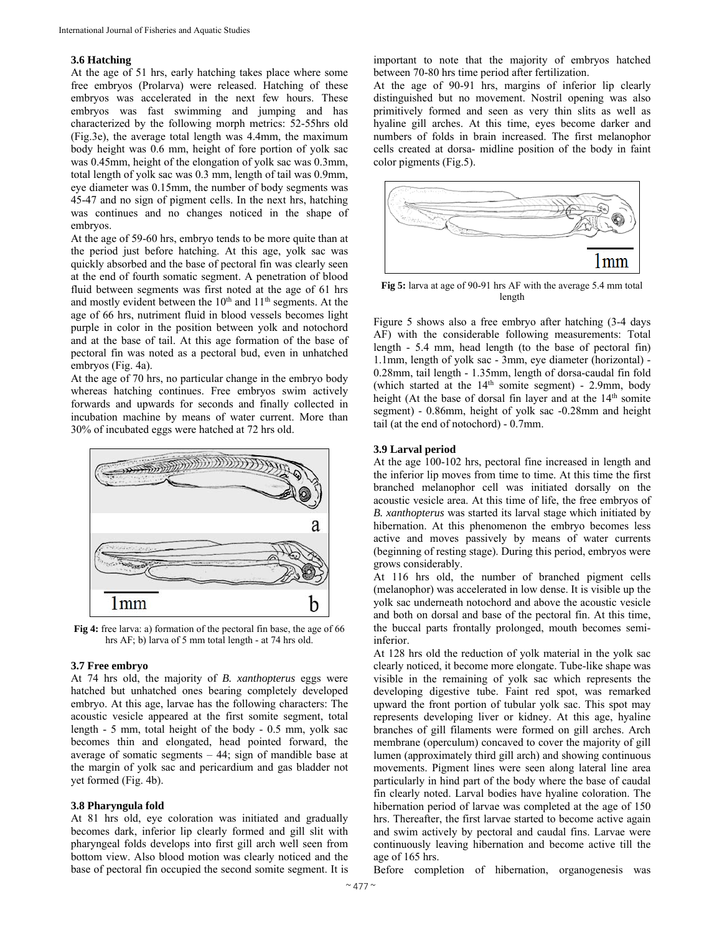# **3.6 Hatching**

At the age of 51 hrs, early hatching takes place where some free embryos (Prolarva) were released. Hatching of these embryos was accelerated in the next few hours. These embryos was fast swimming and jumping and has characterized by the following morph metrics: 52-55hrs old (Fig.3e), the average total length was 4.4mm, the maximum body height was 0.6 mm, height of fore portion of yolk sac was 0.45mm, height of the elongation of yolk sac was 0.3mm, total length of yolk sac was 0.3 mm, length of tail was 0.9mm, eye diameter was 0.15mm, the number of body segments was 45-47 and no sign of pigment cells. In the next hrs, hatching was continues and no changes noticed in the shape of embryos.

At the age of 59-60 hrs, embryo tends to be more quite than at the period just before hatching. At this age, yolk sac was quickly absorbed and the base of pectoral fin was clearly seen at the end of fourth somatic segment. A penetration of blood fluid between segments was first noted at the age of 61 hrs and mostly evident between the  $10<sup>th</sup>$  and  $11<sup>th</sup>$  segments. At the age of 66 hrs, nutriment fluid in blood vessels becomes light purple in color in the position between yolk and notochord and at the base of tail. At this age formation of the base of pectoral fin was noted as a pectoral bud, even in unhatched embryos (Fig. 4a).

At the age of 70 hrs, no particular change in the embryo body whereas hatching continues. Free embryos swim actively forwards and upwards for seconds and finally collected in incubation machine by means of water current. More than 30% of incubated eggs were hatched at 72 hrs old.



**Fig 4:** free larva: a) formation of the pectoral fin base, the age of 66 hrs AF; b) larva of 5 mm total length - at 74 hrs old.

# **3.7 Free embryo**

At 74 hrs old, the majority of *B. xanthopterus* eggs were hatched but unhatched ones bearing completely developed embryo. At this age, larvae has the following characters: The acoustic vesicle appeared at the first somite segment, total length - 5 mm, total height of the body - 0.5 mm, yolk sac becomes thin and elongated, head pointed forward, the average of somatic segments  $-44$ ; sign of mandible base at the margin of yolk sac and pericardium and gas bladder not yet formed (Fig. 4b).

## **3.8 Pharyngula fold**

At 81 hrs old, eye coloration was initiated and gradually becomes dark, inferior lip clearly formed and gill slit with pharyngeal folds develops into first gill arch well seen from bottom view. Also blood motion was clearly noticed and the base of pectoral fin occupied the second somite segment. It is

important to note that the majority of embryos hatched between 70-80 hrs time period after fertilization.

At the age of 90-91 hrs, margins of inferior lip clearly distinguished but no movement. Nostril opening was also primitively formed and seen as very thin slits as well as hyaline gill arches. At this time, eyes become darker and numbers of folds in brain increased. The first melanophor cells created at dorsa- midline position of the body in faint color pigments (Fig.5).



**Fig 5:** larva at age of 90-91 hrs AF with the average 5.4 mm total length

Figure 5 shows also a free embryo after hatching (3-4 days AF) with the considerable following measurements: Total length - 5.4 mm, head length (to the base of pectoral fin) 1.1mm, length of yolk sac - 3mm, eye diameter (horizontal) - 0.28mm, tail length - 1.35mm, length of dorsa-caudal fin fold (which started at the  $14<sup>th</sup>$  somite segment) - 2.9mm, body height (At the base of dorsal fin layer and at the 14<sup>th</sup> somite segment) - 0.86mm, height of yolk sac -0.28mm and height tail (at the end of notochord) - 0.7mm.

#### **3.9 Larval period**

At the age 100-102 hrs, pectoral fine increased in length and the inferior lip moves from time to time. At this time the first branched melanophor cell was initiated dorsally on the acoustic vesicle area. At this time of life, the free embryos of *B. xanthopterus* was started its larval stage which initiated by hibernation. At this phenomenon the embryo becomes less active and moves passively by means of water currents (beginning of resting stage). During this period, embryos were grows considerably.

At 116 hrs old, the number of branched pigment cells (melanophor) was accelerated in low dense. It is visible up the yolk sac underneath notochord and above the acoustic vesicle and both on dorsal and base of the pectoral fin. At this time, the buccal parts frontally prolonged, mouth becomes semiinferior.

At 128 hrs old the reduction of yolk material in the yolk sac clearly noticed, it become more elongate. Tube-like shape was visible in the remaining of yolk sac which represents the developing digestive tube. Faint red spot, was remarked upward the front portion of tubular yolk sac. This spot may represents developing liver or kidney. At this age, hyaline branches of gill filaments were formed on gill arches. Arch membrane (operculum) concaved to cover the majority of gill lumen (approximately third gill arch) and showing continuous movements. Pigment lines were seen along lateral line area particularly in hind part of the body where the base of caudal fin clearly noted. Larval bodies have hyaline coloration. The hibernation period of larvae was completed at the age of 150 hrs. Thereafter, the first larvae started to become active again and swim actively by pectoral and caudal fins. Larvae were continuously leaving hibernation and become active till the age of 165 hrs.

Before completion of hibernation, organogenesis was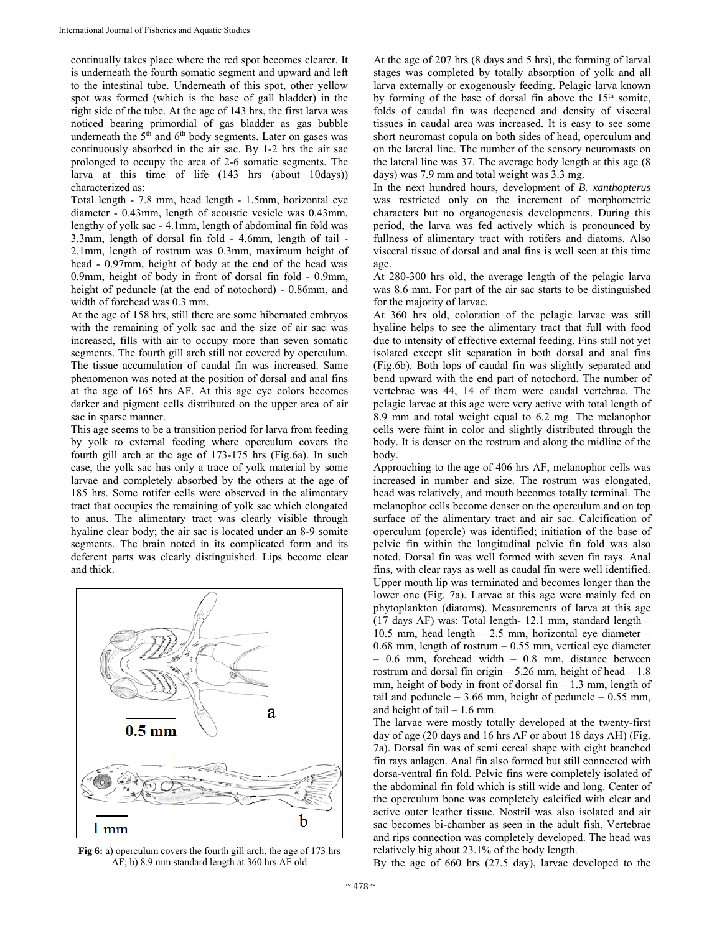continually takes place where the red spot becomes clearer. It is underneath the fourth somatic segment and upward and left to the intestinal tube. Underneath of this spot, other yellow spot was formed (which is the base of gall bladder) in the right side of the tube. At the age of 143 hrs, the first larva was noticed bearing primordial of gas bladder as gas bubble underneath the  $5<sup>th</sup>$  and  $6<sup>th</sup>$  body segments. Later on gases was continuously absorbed in the air sac. By 1-2 hrs the air sac prolonged to occupy the area of 2-6 somatic segments. The larva at this time of life (143 hrs (about 10days)) characterized as:

Total length - 7.8 mm, head length - 1.5mm, horizontal eye diameter - 0.43mm, length of acoustic vesicle was 0.43mm, lengthy of yolk sac - 4.1mm, length of abdominal fin fold was 3.3mm, length of dorsal fin fold - 4.6mm, length of tail - 2.1mm, length of rostrum was 0.3mm, maximum height of head - 0.97mm, height of body at the end of the head was 0.9mm, height of body in front of dorsal fin fold - 0.9mm, height of peduncle (at the end of notochord) - 0.86mm, and width of forehead was 0.3 mm.

At the age of 158 hrs, still there are some hibernated embryos with the remaining of yolk sac and the size of air sac was increased, fills with air to occupy more than seven somatic segments. The fourth gill arch still not covered by operculum. The tissue accumulation of caudal fin was increased. Same phenomenon was noted at the position of dorsal and anal fins at the age of 165 hrs AF. At this age eye colors becomes darker and pigment cells distributed on the upper area of air sac in sparse manner.

This age seems to be a transition period for larva from feeding by yolk to external feeding where operculum covers the fourth gill arch at the age of 173-175 hrs (Fig.6a). In such case, the yolk sac has only a trace of yolk material by some larvae and completely absorbed by the others at the age of 185 hrs. Some rotifer cells were observed in the alimentary tract that occupies the remaining of yolk sac which elongated to anus. The alimentary tract was clearly visible through hyaline clear body; the air sac is located under an 8-9 somite segments. The brain noted in its complicated form and its deferent parts was clearly distinguished. Lips become clear and thick.



**Fig 6:** a) operculum covers the fourth gill arch, the age of 173 hrs AF; b) 8.9 mm standard length at 360 hrs AF old

At the age of 207 hrs (8 days and 5 hrs), the forming of larval stages was completed by totally absorption of yolk and all larva externally or exogenously feeding. Pelagic larva known by forming of the base of dorsal fin above the 15<sup>th</sup> somite, folds of caudal fin was deepened and density of visceral tissues in caudal area was increased. It is easy to see some short neuromast copula on both sides of head, operculum and on the lateral line. The number of the sensory neuromasts on the lateral line was 37. The average body length at this age (8 days) was 7.9 mm and total weight was 3.3 mg.

In the next hundred hours, development of *B. xanthopterus* was restricted only on the increment of morphometric characters but no organogenesis developments. During this period, the larva was fed actively which is pronounced by fullness of alimentary tract with rotifers and diatoms. Also visceral tissue of dorsal and anal fins is well seen at this time age.

At 280-300 hrs old, the average length of the pelagic larva was 8.6 mm. For part of the air sac starts to be distinguished for the majority of larvae.

At 360 hrs old, coloration of the pelagic larvae was still hyaline helps to see the alimentary tract that full with food due to intensity of effective external feeding. Fins still not yet isolated except slit separation in both dorsal and anal fins (Fig.6b). Both lops of caudal fin was slightly separated and bend upward with the end part of notochord. The number of vertebrae was 44, 14 of them were caudal vertebrae. The pelagic larvae at this age were very active with total length of 8.9 mm and total weight equal to 6.2 mg. The melanophor cells were faint in color and slightly distributed through the body. It is denser on the rostrum and along the midline of the body.

Approaching to the age of 406 hrs AF, melanophor cells was increased in number and size. The rostrum was elongated, head was relatively, and mouth becomes totally terminal. The melanophor cells become denser on the operculum and on top surface of the alimentary tract and air sac. Calcification of operculum (opercle) was identified; initiation of the base of pelvic fin within the longitudinal pelvic fin fold was also noted. Dorsal fin was well formed with seven fin rays. Anal fins, with clear rays as well as caudal fin were well identified. Upper mouth lip was terminated and becomes longer than the lower one (Fig. 7a). Larvae at this age were mainly fed on phytoplankton (diatoms). Measurements of larva at this age (17 days AF) was: Total length- 12.1 mm, standard length – 10.5 mm, head length – 2.5 mm, horizontal eye diameter – 0.68 mm, length of rostrum – 0.55 mm, vertical eye diameter  $-0.6$  mm, forehead width  $-0.8$  mm, distance between rostrum and dorsal fin origin  $-$  5.26 mm, height of head  $-1.8$ mm, height of body in front of dorsal fin  $-1.3$  mm, length of tail and peduncle  $-3.66$  mm, height of peduncle  $-0.55$  mm, and height of tail  $-1.6$  mm.

The larvae were mostly totally developed at the twenty-first day of age (20 days and 16 hrs AF or about 18 days AH) (Fig. 7a). Dorsal fin was of semi cercal shape with eight branched fin rays anlagen. Anal fin also formed but still connected with dorsa-ventral fin fold. Pelvic fins were completely isolated of the abdominal fin fold which is still wide and long. Center of the operculum bone was completely calcified with clear and active outer leather tissue. Nostril was also isolated and air sac becomes bi-chamber as seen in the adult fish. Vertebrae and rips connection was completely developed. The head was relatively big about 23.1% of the body length.

By the age of 660 hrs (27.5 day), larvae developed to the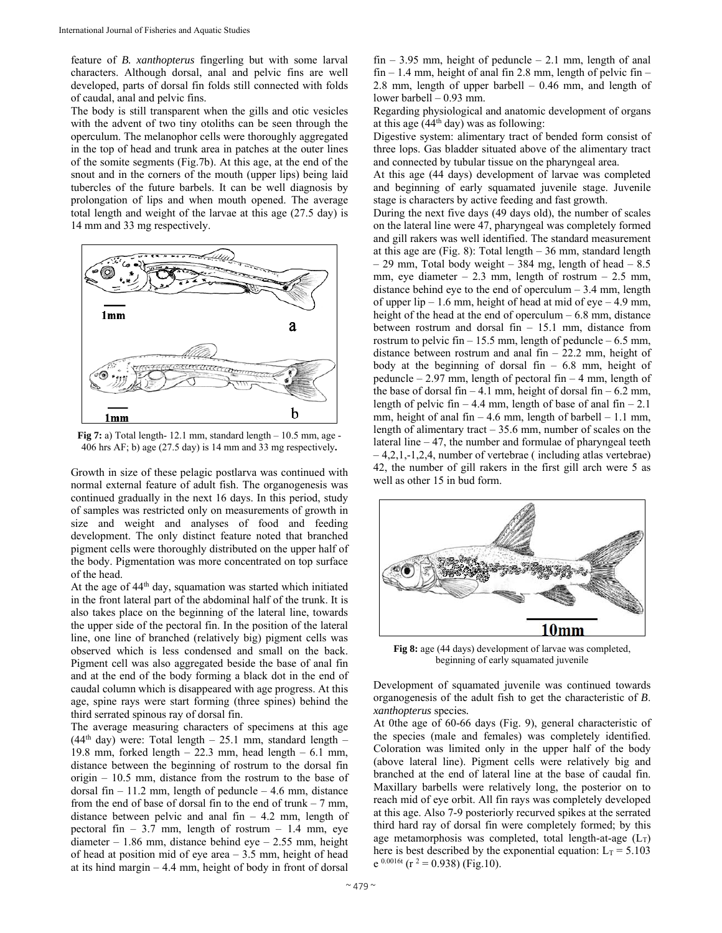feature of *B. xanthopterus* fingerling but with some larval characters. Although dorsal, anal and pelvic fins are well developed, parts of dorsal fin folds still connected with folds of caudal, anal and pelvic fins.

The body is still transparent when the gills and otic vesicles with the advent of two tiny otoliths can be seen through the operculum. The melanophor cells were thoroughly aggregated in the top of head and trunk area in patches at the outer lines of the somite segments (Fig.7b). At this age, at the end of the snout and in the corners of the mouth (upper lips) being laid tubercles of the future barbels. It can be well diagnosis by prolongation of lips and when mouth opened. The average total length and weight of the larvae at this age (27.5 day) is 14 mm and 33 mg respectively.



**Fig 7:** a) Total length- 12.1 mm, standard length – 10.5 mm, age - 406 hrs AF; b) age (27.5 day) is 14 mm and 33 mg respectively**.**

Growth in size of these pelagic postlarva was continued with normal external feature of adult fish. The organogenesis was continued gradually in the next 16 days. In this period, study of samples was restricted only on measurements of growth in size and weight and analyses of food and feeding development. The only distinct feature noted that branched pigment cells were thoroughly distributed on the upper half of the body. Pigmentation was more concentrated on top surface of the head.

At the age of 44<sup>th</sup> day, squamation was started which initiated in the front lateral part of the abdominal half of the trunk. It is also takes place on the beginning of the lateral line, towards the upper side of the pectoral fin. In the position of the lateral line, one line of branched (relatively big) pigment cells was observed which is less condensed and small on the back. Pigment cell was also aggregated beside the base of anal fin and at the end of the body forming a black dot in the end of caudal column which is disappeared with age progress. At this age, spine rays were start forming (three spines) behind the third serrated spinous ray of dorsal fin.

The average measuring characters of specimens at this age  $(44<sup>th</sup> day)$  were: Total length – 25.1 mm, standard length – 19.8 mm, forked length  $-22.3$  mm, head length  $-6.1$  mm, distance between the beginning of rostrum to the dorsal fin origin – 10.5 mm, distance from the rostrum to the base of dorsal fin  $-11.2$  mm, length of peduncle  $-4.6$  mm, distance from the end of base of dorsal fin to the end of trunk  $-7$  mm, distance between pelvic and anal fin  $-4.2$  mm, length of pectoral fin – 3.7 mm, length of rostrum – 1.4 mm, eye diameter – 1.86 mm, distance behind eye – 2.55 mm, height of head at position mid of eye area – 3.5 mm, height of head at its hind margin  $-4.4$  mm, height of body in front of dorsal

fin  $-3.95$  mm, height of peduncle  $-2.1$  mm, length of anal  $fin - 1.4$  mm, height of anal fin 2.8 mm, length of pelvic fin – 2.8 mm, length of upper barbell – 0.46 mm, and length of lower barbell – 0.93 mm.

Regarding physiological and anatomic development of organs at this age  $(44<sup>th</sup>$  day) was as following:

Digestive system: alimentary tract of bended form consist of three lops. Gas bladder situated above of the alimentary tract and connected by tubular tissue on the pharyngeal area.

At this age (44 days) development of larvae was completed and beginning of early squamated juvenile stage. Juvenile stage is characters by active feeding and fast growth.

During the next five days (49 days old), the number of scales on the lateral line were 47, pharyngeal was completely formed and gill rakers was well identified. The standard measurement at this age are (Fig. 8): Total length – 36 mm, standard length – 29 mm, Total body weight – 384 mg, length of head –  $8.5$ mm, eye diameter  $-2.3$  mm, length of rostrum  $-2.5$  mm, distance behind eye to the end of operculum  $-3.4$  mm, length of upper lip  $-1.6$  mm, height of head at mid of eye  $-4.9$  mm, height of the head at the end of operculum  $-6.8$  mm, distance between rostrum and dorsal fin – 15.1 mm, distance from rostrum to pelvic fin  $-15.5$  mm, length of peduncle  $-6.5$  mm, distance between rostrum and anal fin – 22.2 mm, height of body at the beginning of dorsal fin  $-6.8$  mm, height of peduncle – 2.97 mm, length of pectoral fin – 4 mm, length of the base of dorsal fin – 4.1 mm, height of dorsal fin – 6.2 mm, length of pelvic fin – 4.4 mm, length of base of anal fin – 2.1 mm, height of anal fin  $-4.6$  mm, length of barbell  $-1.1$  mm, length of alimentary tract  $-35.6$  mm, number of scales on the lateral line – 47, the number and formulae of pharyngeal teeth – 4,2,1,-1,2,4, number of vertebrae ( including atlas vertebrae) 42, the number of gill rakers in the first gill arch were 5 as well as other 15 in bud form.



**Fig 8:** age (44 days) development of larvae was completed, beginning of early squamated juvenile

Development of squamated juvenile was continued towards organogenesis of the adult fish to get the characteristic of *B*. *xanthopterus* species*.*

At 0the age of 60-66 days (Fig. 9), general characteristic of the species (male and females) was completely identified. Coloration was limited only in the upper half of the body (above lateral line). Pigment cells were relatively big and branched at the end of lateral line at the base of caudal fin. Maxillary barbells were relatively long, the posterior on to reach mid of eye orbit. All fin rays was completely developed at this age. Also 7-9 posteriorly recurved spikes at the serrated third hard ray of dorsal fin were completely formed; by this age metamorphosis was completed, total length-at-age  $(L_T)$ here is best described by the exponential equation:  $L_T = 5.103$  $e^{0.0016t}$  (r<sup>2</sup> = 0.938) (Fig.10).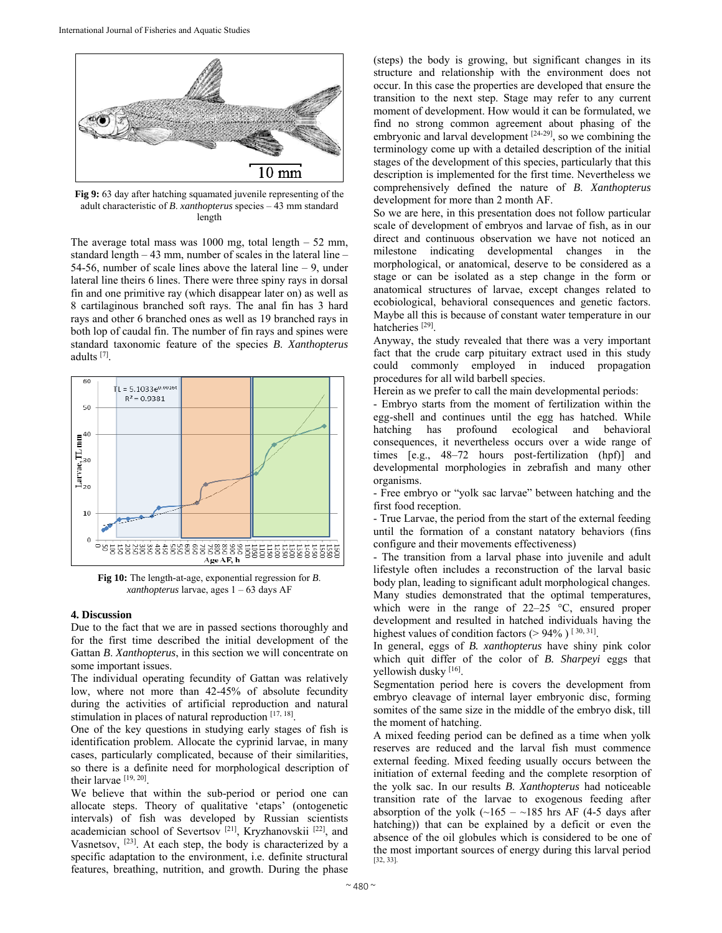

**Fig 9:** 63 day after hatching squamated juvenile representing of the adult characteristic of *B*. *xanthopterus* species – 43 mm standard length

The average total mass was  $1000$  mg, total length  $-52$  mm, standard length – 43 mm, number of scales in the lateral line – 54-56, number of scale lines above the lateral line – 9, under lateral line theirs 6 lines. There were three spiny rays in dorsal fin and one primitive ray (which disappear later on) as well as 8 cartilaginous branched soft rays. The anal fin has 3 hard rays and other 6 branched ones as well as 19 branched rays in both lop of caudal fin. The number of fin rays and spines were standard taxonomic feature of the species *B*. *Xanthopterus* adults [7].



**Fig 10:** The length-at-age, exponential regression for *B*. *xanthopterus* larvae, ages 1 – 63 days AF

# **4. Discussion**

Due to the fact that we are in passed sections thoroughly and for the first time described the initial development of the Gattan *B*. *Xanthopterus*, in this section we will concentrate on some important issues.

The individual operating fecundity of Gattan was relatively low, where not more than 42-45% of absolute fecundity during the activities of artificial reproduction and natural stimulation in places of natural reproduction [17, 18].

One of the key questions in studying early stages of fish is identification problem. Allocate the cyprinid larvae, in many cases, particularly complicated, because of their similarities, so there is a definite need for morphological description of their larvae [19, 20].

We believe that within the sub-period or period one can allocate steps. Theory of qualitative 'etaps' (ontogenetic intervals) of fish was developed by Russian scientists academician school of Severtsov [21], Kryzhanovskii [22], and Vasnetsov, [23]. At each step, the body is characterized by a specific adaptation to the environment, i.e. definite structural features, breathing, nutrition, and growth. During the phase

(steps) the body is growing, but significant changes in its structure and relationship with the environment does not occur. In this case the properties are developed that ensure the transition to the next step. Stage may refer to any current moment of development. How would it can be formulated, we find no strong common agreement about phasing of the embryonic and larval development  $[24-29]$ , so we combining the terminology come up with a detailed description of the initial stages of the development of this species, particularly that this description is implemented for the first time. Nevertheless we comprehensively defined the nature of *B*. *Xanthopterus* development for more than 2 month AF.

So we are here, in this presentation does not follow particular scale of development of embryos and larvae of fish, as in our direct and continuous observation we have not noticed an milestone indicating developmental changes in the morphological, or anatomical, deserve to be considered as a stage or can be isolated as a step change in the form or anatomical structures of larvae, except changes related to ecobiological, behavioral consequences and genetic factors. Maybe all this is because of constant water temperature in our hatcheries<sup>[29]</sup>.

Anyway, the study revealed that there was a very important fact that the crude carp pituitary extract used in this study could commonly employed in induced propagation procedures for all wild barbell species.

Herein as we prefer to call the main developmental periods:

- Embryo starts from the moment of fertilization within the egg-shell and continues until the egg has hatched. While hatching has profound ecological and behavioral consequences, it nevertheless occurs over a wide range of times [e.g., 48–72 hours post-fertilization (hpf)] and developmental morphologies in zebrafish and many other organisms.

- Free embryo or "yolk sac larvae" between hatching and the first food reception.

- True Larvae, the period from the start of the external feeding until the formation of a constant natatory behaviors (fins configure and their movements effectiveness)

- The transition from a larval phase into juvenile and adult lifestyle often includes a reconstruction of the larval basic body plan, leading to significant adult morphological changes. Many studies demonstrated that the optimal temperatures, which were in the range of 22–25 °C, ensured proper development and resulted in hatched individuals having the highest values of condition factors ( $> 94\%$ ) [30, 31].

In general, eggs of *B. xanthopterus* have shiny pink color which quit differ of the color of *B. Sharpeyi* eggs that yellowish dusky [16].

Segmentation period here is covers the development from embryo cleavage of internal layer embryonic disc, forming somites of the same size in the middle of the embryo disk, till the moment of hatching.

A mixed feeding period can be defined as a time when yolk reserves are reduced and the larval fish must commence external feeding. Mixed feeding usually occurs between the initiation of external feeding and the complete resorption of the yolk sac. In our results *B*. *Xanthopterus* had noticeable transition rate of the larvae to exogenous feeding after absorption of the yolk  $(\sim 165 - \sim 185$  hrs AF (4-5 days after hatching)) that can be explained by a deficit or even the absence of the oil globules which is considered to be one of the most important sources of energy during this larval period [32, 33].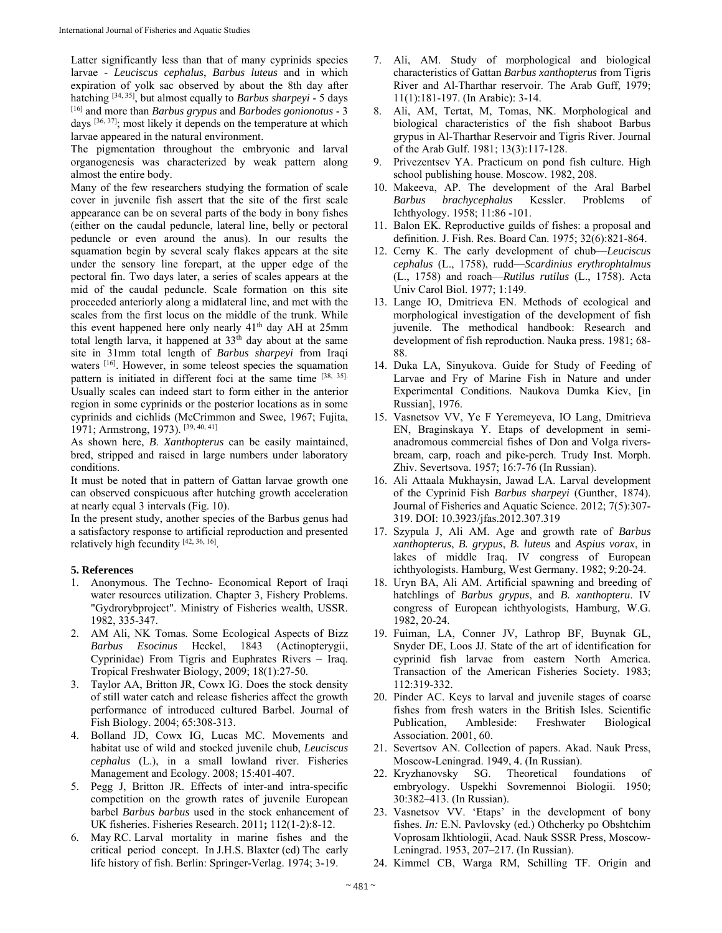Latter significantly less than that of many cyprinids species larvae - *Leuciscus cephalus*, *Barbus luteus* and in which expiration of yolk sac observed by about the 8th day after hatching [34, 35], but almost equally to *Barbus sharpeyi* - 5 days [16] and more than *Barbus grypus* and *Barbodes gonionotus* - 3 days [36, 37]; most likely it depends on the temperature at which larvae appeared in the natural environment.

The pigmentation throughout the embryonic and larval organogenesis was characterized by weak pattern along almost the entire body.

Many of the few researchers studying the formation of scale cover in juvenile fish assert that the site of the first scale appearance can be on several parts of the body in bony fishes (either on the caudal peduncle, lateral line, belly or pectoral peduncle or even around the anus). In our results the squamation begin by several scaly flakes appears at the site under the sensory line forepart, at the upper edge of the pectoral fin. Two days later, a series of scales appears at the mid of the caudal peduncle. Scale formation on this site proceeded anteriorly along a midlateral line, and met with the scales from the first locus on the middle of the trunk. While this event happened here only nearly 41<sup>th</sup> day AH at 25mm total length larva, it happened at 33<sup>th</sup> day about at the same site in 31mm total length of *Barbus sharpeyi* from Iraqi waters [16]. However, in some teleost species the squamation pattern is initiated in different foci at the same time [38, 35]. Usually scales can indeed start to form either in the anterior region in some cyprinids or the posterior locations as in some cyprinids and cichlids (McCrimmon and Swee, 1967; Fujita, 1971; Armstrong, 1973). [39, 40, 41]

As shown here, *B*. *Xanthopterus* can be easily maintained, bred, stripped and raised in large numbers under laboratory conditions.

It must be noted that in pattern of Gattan larvae growth one can observed conspicuous after hutching growth acceleration at nearly equal 3 intervals (Fig. 10).

In the present study, another species of the Barbus genus had a satisfactory response to artificial reproduction and presented relatively high fecundity [42, 36, 16].

## **5. References**

- 1. Anonymous. The Techno- Economical Report of Iraqi water resources utilization. Chapter 3, Fishery Problems. "Gydrorybproject". Ministry of Fisheries wealth, USSR. 1982, 335-347.
- 2. AM Ali, NK Tomas*.* Some Ecological Aspects of Bizz *Barbus Esocinus* Heckel, 1843 (Actinopterygii, Cyprinidae) From Tigris and Euphrates Rivers – Iraq. Tropical Freshwater Biology, 2009; 18(1):27-50.
- 3. Taylor AA, Britton JR, Cowx IG. Does the stock density of still water catch and release fisheries affect the growth performance of introduced cultured Barbel. Journal of Fish Biology. 2004; 65:308-313.
- 4. Bolland JD, Cowx IG, Lucas MC. Movements and habitat use of wild and stocked juvenile chub, *Leuciscus cephalus* (L.), in a small lowland river. Fisheries Management and Ecology. 2008; 15:401-407.
- 5. Pegg J, Britton JR. Effects of inter-and intra-specific competition on the growth rates of juvenile European barbel *Barbus barbus* used in the stock enhancement of UK fisheries. Fisheries Research. 2011**;** 112(1-2):8-12.
- 6. May RC. Larval mortality in marine fishes and the critical period concept. In J.H.S. Blaxter (ed) The early life history of fish. Berlin: Springer-Verlag. 1974; 3-19.
- 7. Ali, AM. Study of morphological and biological characteristics of Gattan *Barbus xanthopterus* from Tigris River and Al-Tharthar reservoir. The Arab Guff, 1979; 11(1):181-197. (In Arabic): 3-14.
- 8. Ali, AM, Tertat, M, Tomas, NK. Morphological and biological characteristics of the fish shaboot Barbus grypus in Al-Tharthar Reservoir and Tigris River. Journal of the Arab Gulf. 1981; 13(3):117-128.
- 9. Privezentsev YA. Practicum on pond fish culture. High school publishing house. Moscow. 1982, 208.
- 10. Makeeva, AP. The development of the Aral Barbel *Barbus brachycephalus* Kessler. Problems of Ichthyology. 1958; 11:86 -101.
- 11. Balon EK. Reproductive guilds of fishes: a proposal and definition. J. Fish. Res. Board Can. 1975; 32(6):821-864.
- 12. Cerny K. The early development of chub—*Leuciscus cephalus* (L., 1758), rudd—*Scardinius erythrophtalmus* (L., 1758) and roach—*Rutilus rutilus* (L., 1758). Acta Univ Carol Biol. 1977; 1:149.
- 13. Lange IO, Dmitrieva EN. Methods of ecological and morphological investigation of the development of fish juvenile. The methodical handbook: Research and development of fish reproduction. Nauka press. 1981; 68- 88.
- 14. Duka LA, Sinyukova. Guide for Study of Feeding of Larvae and Fry of Marine Fish in Nature and under Experimental Conditions*.* Naukova Dumka Kiev, [in Russian], 1976.
- 15. Vasnetsov VV, Ye F Yeremeyeva, IO Lang, Dmitrieva EN, Braginskaya Y. Etaps of development in semianadromous commercial fishes of Don and Volga riversbream, carp, roach and pike-perch. Trudy Inst. Morph. Zhiv. Severtsova. 1957; 16:7-76 (In Russian).
- 16. Ali Attaala Mukhaysin, Jawad LA. Larval development of the Cyprinid Fish *Barbus sharpeyi* (Gunther, 1874). Journal of Fisheries and Aquatic Science. 2012; 7(5):307- 319. DOI: 10.3923/jfas.2012.307.319
- 17. Szypula J, Ali AM. Age and growth rate of *Barbus xanthopterus*, *B. grypus*, *B. luteus* and *Aspius vorax*, in lakes of middle Iraq. IV congress of European ichthyologists. Hamburg, West Germany. 1982; 9:20-24.
- 18. Uryn BA, Ali AM. Artificial spawning and breeding of hatchlings of *Barbus grypus*, and *B. xanthopteru*. IV congress of European ichthyologists, Hamburg, W.G. 1982, 20-24.
- 19. Fuiman, LA, Conner JV, Lathrop BF, Buynak GL, Snyder DE, Loos JJ. State of the art of identification for cyprinid fish larvae from eastern North America. Transaction of the American Fisheries Society. 1983; 112:319-332.
- 20. Pinder AC. Keys to larval and juvenile stages of coarse fishes from fresh waters in the British Isles. Scientific Publication, Ambleside: Freshwater Biological Association. 2001, 60.
- 21. Severtsov AN. Collection of papers. Akad. Nauk Press, Moscow-Leningrad. 1949, 4. (In Russian).
- 22. Kryzhanovsky SG. Theoretical foundations of embryology. Uspekhi Sovremennoi Biologii. 1950; 30:382–413. (In Russian).
- 23. Vasnetsov VV. 'Etaps' in the development of bony fishes. *In:* E.N. Pavlovsky (ed.) Othcherky po Obshtchim Voprosam Ikhtiologii, Acad. Nauk SSSR Press, Moscow-Leningrad. 1953, 207–217. (In Russian).
- 24. Kimmel CB, Warga RM, Schilling TF. Origin and